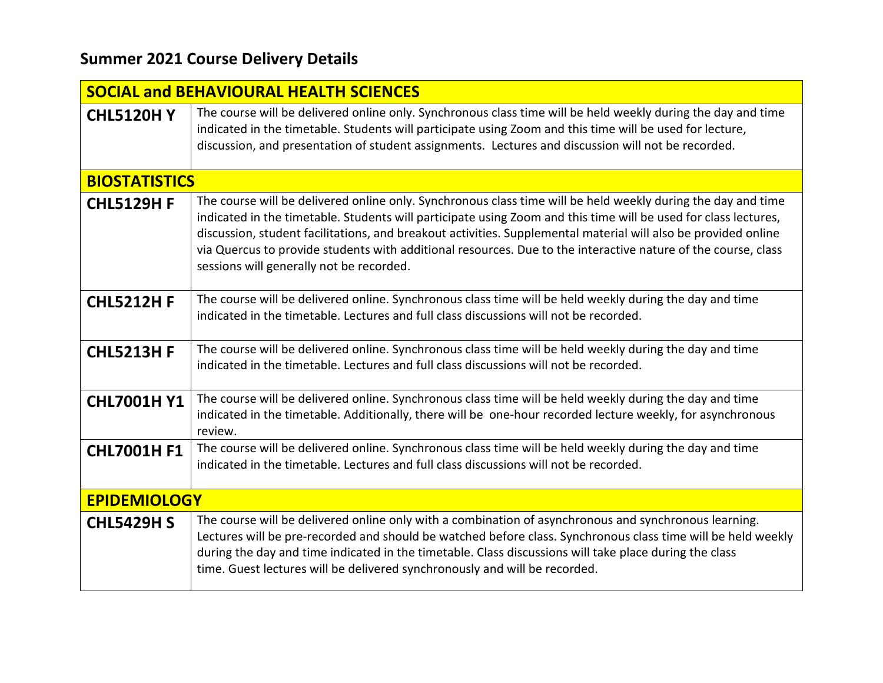## **Summer 2021 Course Delivery Details**

| <b>SOCIAL and BEHAVIOURAL HEALTH SCIENCES</b> |                                                                                                                                                                                                                                                                                                                                                                                                                                                                                                                |  |
|-----------------------------------------------|----------------------------------------------------------------------------------------------------------------------------------------------------------------------------------------------------------------------------------------------------------------------------------------------------------------------------------------------------------------------------------------------------------------------------------------------------------------------------------------------------------------|--|
| <b>CHL5120HY</b>                              | The course will be delivered online only. Synchronous class time will be held weekly during the day and time<br>indicated in the timetable. Students will participate using Zoom and this time will be used for lecture,<br>discussion, and presentation of student assignments. Lectures and discussion will not be recorded.                                                                                                                                                                                 |  |
| <b>BIOSTATISTICS</b>                          |                                                                                                                                                                                                                                                                                                                                                                                                                                                                                                                |  |
| <b>CHL5129H F</b>                             | The course will be delivered online only. Synchronous class time will be held weekly during the day and time<br>indicated in the timetable. Students will participate using Zoom and this time will be used for class lectures,<br>discussion, student facilitations, and breakout activities. Supplemental material will also be provided online<br>via Quercus to provide students with additional resources. Due to the interactive nature of the course, class<br>sessions will generally not be recorded. |  |
| <b>CHL5212H F</b>                             | The course will be delivered online. Synchronous class time will be held weekly during the day and time<br>indicated in the timetable. Lectures and full class discussions will not be recorded.                                                                                                                                                                                                                                                                                                               |  |
| <b>CHL5213H F</b>                             | The course will be delivered online. Synchronous class time will be held weekly during the day and time<br>indicated in the timetable. Lectures and full class discussions will not be recorded.                                                                                                                                                                                                                                                                                                               |  |
| <b>CHL7001H Y1</b>                            | The course will be delivered online. Synchronous class time will be held weekly during the day and time<br>indicated in the timetable. Additionally, there will be one-hour recorded lecture weekly, for asynchronous<br>review.                                                                                                                                                                                                                                                                               |  |
| <b>CHL7001H F1</b>                            | The course will be delivered online. Synchronous class time will be held weekly during the day and time<br>indicated in the timetable. Lectures and full class discussions will not be recorded.                                                                                                                                                                                                                                                                                                               |  |
| <b>EPIDEMIOLOGY</b>                           |                                                                                                                                                                                                                                                                                                                                                                                                                                                                                                                |  |
| <b>CHL5429H S</b>                             | The course will be delivered online only with a combination of asynchronous and synchronous learning.<br>Lectures will be pre-recorded and should be watched before class. Synchronous class time will be held weekly<br>during the day and time indicated in the timetable. Class discussions will take place during the class<br>time. Guest lectures will be delivered synchronously and will be recorded.                                                                                                  |  |